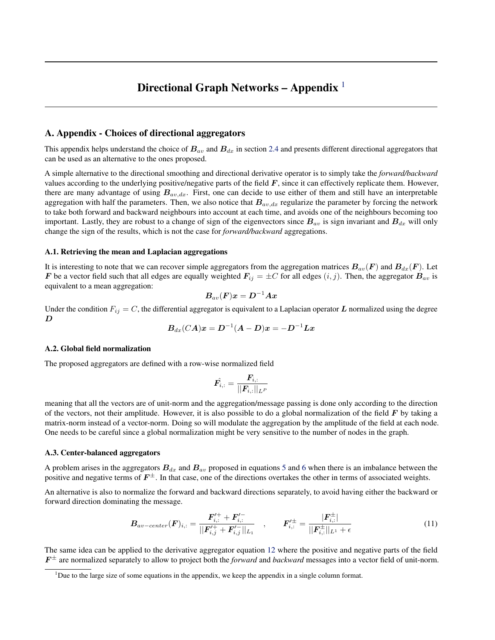# Directional Graph Networks – Appendix  $<sup>1</sup>$ </sup>

## A. Appendix - Choices of directional aggregators

This appendix helps understand the choice of  $B_{av}$  and  $B_{dx}$  in section [2.4](#page--1-0) and presents different directional aggregators that can be used as an alternative to the ones proposed.

A simple alternative to the directional smoothing and directional derivative operator is to simply take the *forward/backward* values according to the underlying positive/negative parts of the field  $F$ , since it can effectively replicate them. However, there are many advantage of using  $B_{av,dx}$ . First, one can decide to use either of them and still have an interpretable aggregation with half the parameters. Then, we also notice that  $B_{av, dx}$  regularize the parameter by forcing the network to take both forward and backward neighbours into account at each time, and avoids one of the neighbours becoming too important. Lastly, they are robust to a change of sign of the eigenvectors since  $B_{av}$  is sign invariant and  $B_{dx}$  will only change the sign of the results, which is not the case for *forward/backward* aggregations.

### A.1. Retrieving the mean and Laplacian aggregations

It is interesting to note that we can recover simple aggregators from the aggregation matrices  $B_{av}(F)$  and  $B_{dx}(F)$ . Let F be a vector field such that all edges are equally weighted  $F_{ij} = \pm C$  for all edges  $(i, j)$ . Then, the aggregator  $B_{av}$  is equivalent to a mean aggregation:

$$
\boldsymbol{B}_{av}(\boldsymbol{F})\boldsymbol{x} = \boldsymbol{D}^{-1}\boldsymbol{A}\boldsymbol{x}
$$

Under the condition  $F_{ij} = C$ , the differential aggregator is equivalent to a Laplacian operator L normalized using the degree  $\boldsymbol{D}$ 

$$
\boldsymbol{B}_{dx}(CA)\boldsymbol{x} = \boldsymbol{D}^{-1}( \boldsymbol{A} - \boldsymbol{D})\boldsymbol{x} = - \boldsymbol{D}^{-1}\boldsymbol{L}\boldsymbol{x}
$$

## A.2. Global field normalization

The proposed aggregators are defined with a row-wise normalized field

$$
\hat{\bm{F_{i,:}}} = \frac{\bm{F_{i,:}}}{||\bm{F_{i,:}}||_{L^P}}
$$

meaning that all the vectors are of unit-norm and the aggregation/message passing is done only according to the direction of the vectors, not their amplitude. However, it is also possible to do a global normalization of the field  $\bm{F}$  by taking a matrix-norm instead of a vector-norm. Doing so will modulate the aggregation by the amplitude of the field at each node. One needs to be careful since a global normalization might be very sensitive to the number of nodes in the graph.

### A.3. Center-balanced aggregators

A problem arises in the aggregators  $B_{dx}$  and  $B_{av}$  proposed in equations [5](#page--1-0) and [6](#page--1-0) when there is an imbalance between the positive and negative terms of  $F^{\pm}$ . In that case, one of the directions overtakes the other in terms of associated weights.

An alternative is also to normalize the forward and backward directions separately, to avoid having either the backward or forward direction dominating the message.

$$
B_{av-center}(\boldsymbol{F})_{i,:} = \frac{\boldsymbol{F}_{i,:}^{\prime+} + \boldsymbol{F}_{i,:}^{\prime-}}{||\boldsymbol{F}_{i,j}^{\prime+} + \boldsymbol{F}_{i,j}^{\prime}||_{L_1}} , \qquad \boldsymbol{F}_{i,:}^{\prime \pm} = \frac{|\boldsymbol{F}_{i,:}^{\pm}|}{||\boldsymbol{F}_{i,:}^{\pm}||_{L_1} + \epsilon} \tag{11}
$$

The same idea can be applied to the derivative aggregator equation [12](#page-1-0) where the positive and negative parts of the field  $F^{\pm}$  are normalized separately to allow to project both the *forward* and *backward* messages into a vector field of unit-norm.

 $1<sup>1</sup>$ Due to the large size of some equations in the appendix, we keep the appendix in a single column format.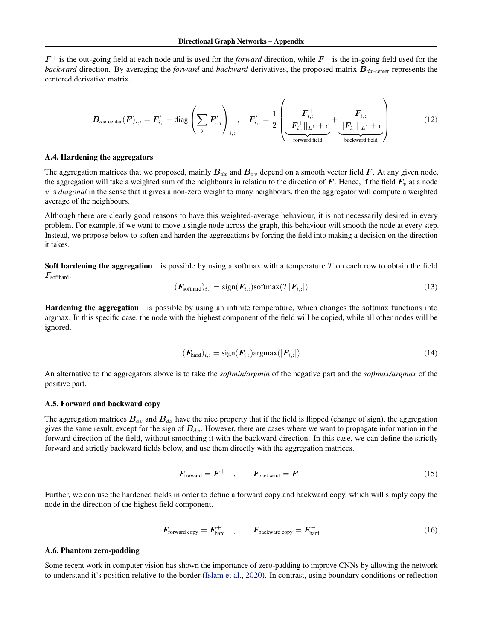<span id="page-1-0"></span> $F^+$  is the out-going field at each node and is used for the *forward* direction, while  $F^-$  is the in-going field used for the *backward* direction. By averaging the *forward* and *backward* derivatives, the proposed matrix  $B_{dx\text{-center}}$  represents the centered derivative matrix.

$$
\boldsymbol{B}_{dx\text{-center}}(\boldsymbol{F})_{i,:} = \boldsymbol{F}_{i,:}' - \text{diag}\left(\sum_{j} \boldsymbol{F}_{i,j}'\right)_{i,:}, \quad \boldsymbol{F}_{i,:}' = \frac{1}{2} \left(\underbrace{\frac{\boldsymbol{F}_{i,:}^+}{\|\boldsymbol{F}_{i,:}^+\|_{L^1} + \epsilon}}_{\text{forward field}} + \underbrace{\frac{\boldsymbol{F}_{i,:}^-}{\|\boldsymbol{F}_{i,:}^-\|_{L^1} + \epsilon}}_{\text{backward field}}\right) \tag{12}
$$

#### A.4. Hardening the aggregators

The aggregation matrices that we proposed, mainly  $B_{dx}$  and  $B_{av}$  depend on a smooth vector field F. At any given node, the aggregation will take a weighted sum of the neighbours in relation to the direction of  $F$ . Hence, if the field  $F_v$  at a node v is *diagonal* in the sense that it gives a non-zero weight to many neighbours, then the aggregator will compute a weighted average of the neighbours.

Although there are clearly good reasons to have this weighted-average behaviour, it is not necessarily desired in every problem. For example, if we want to move a single node across the graph, this behaviour will smooth the node at every step. Instead, we propose below to soften and harden the aggregations by forcing the field into making a decision on the direction it takes.

Soft hardening the aggregation is possible by using a softmax with a temperature  $T$  on each row to obtain the field  $\boldsymbol{F}_{\text{softhard}}$ .

$$
(\boldsymbol{F}_{\text{softhard}})_{i,:} = \text{sign}(\boldsymbol{F}_{i,:}) \text{softmax}(T|\boldsymbol{F}_{i,:}|) \tag{13}
$$

Hardening the aggregation is possible by using an infinite temperature, which changes the softmax functions into argmax. In this specific case, the node with the highest component of the field will be copied, while all other nodes will be ignored.

$$
(\boldsymbol{F}_{\text{hard}})_{i,:} = \text{sign}(\boldsymbol{F}_{i,:}) \text{argmax}(|\boldsymbol{F}_{i,:}|) \tag{14}
$$

An alternative to the aggregators above is to take the *softmin/argmin* of the negative part and the *softmax/argmax* of the positive part.

### A.5. Forward and backward copy

The aggregation matrices  $B_{av}$  and  $B_{dx}$  have the nice property that if the field is flipped (change of sign), the aggregation gives the same result, except for the sign of  $B_{dx}$ . However, there are cases where we want to propagate information in the forward direction of the field, without smoothing it with the backward direction. In this case, we can define the strictly forward and strictly backward fields below, and use them directly with the aggregation matrices.

$$
F_{\text{forward}} = F^+ \quad , \qquad F_{\text{backward}} = F^- \tag{15}
$$

Further, we can use the hardened fields in order to define a forward copy and backward copy, which will simply copy the node in the direction of the highest field component.

$$
F_{\text{forward copy}} = F_{\text{hard}}^+ \quad , \qquad F_{\text{backward copy}} = F_{\text{hard}}^- \tag{16}
$$

## A.6. Phantom zero-padding

Some recent work in computer vision has shown the importance of zero-padding to improve CNNs by allowing the network to understand it's position relative to the border [\(Islam et al.,](#page--1-0) [2020\)](#page--1-0). In contrast, using boundary conditions or reflection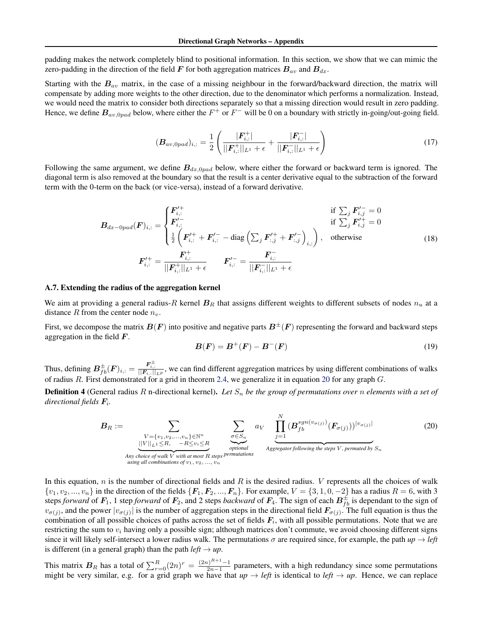padding makes the network completely blind to positional information. In this section, we show that we can mimic the zero-padding in the direction of the field F for both aggregation matrices  $B_{av}$  and  $B_{dx}$ .

Starting with the  $B_{av}$  matrix, in the case of a missing neighbour in the forward/backward direction, the matrix will compensate by adding more weights to the other direction, due to the denominator which performs a normalization. Instead, we would need the matrix to consider both directions separately so that a missing direction would result in zero padding. Hence, we define  $B_{av,0pad}$  below, where either the  $F^+$  or  $F^-$  will be 0 on a boundary with strictly in-going/out-going field.

$$
(\boldsymbol{B}_{av,0pad})_{i,:} = \frac{1}{2} \left( \frac{|\boldsymbol{F}_{i,:}^{+}|}{||\boldsymbol{F}_{i,:}^{+}||_{L^{1}} + \epsilon} + \frac{|\boldsymbol{F}_{i,:}^{-}|}{||\boldsymbol{F}_{i,:}^{-}||_{L^{1}} + \epsilon} \right)
$$
(17)

Following the same argument, we define  $B_{dx,0pad}$  below, where either the forward or backward term is ignored. The diagonal term is also removed at the boundary so that the result is a center derivative equal to the subtraction of the forward term with the 0-term on the back (or vice-versa), instead of a forward derivative.

$$
B_{dx-0pad}(F)_{i,:} = \begin{cases} F'_{i,:} & \text{if } \sum_{j} F'_{i,j} = 0\\ F'_{i,:} & \text{if } \sum_{j} F'_{i,j} = 0\\ \frac{1}{2} \left( F'_{i,:} + F'_{i,:} - \text{diag} \left( \sum_{j} F'_{i,j} + F'_{i,j} \right)_{i,:} \right), & \text{otherwise} \end{cases}
$$
(18)  

$$
F'_{i,:} = \frac{F_{i,:}^+}{||F_{i,:}^+||_{L^1} + \epsilon} \qquad F'_{i,:} = \frac{F_{i,:}^-}{||F_{i,:}^-||_{L^1} + \epsilon}
$$

#### A.7. Extending the radius of the aggregation kernel

We aim at providing a general radius-R kernel  $B_R$  that assigns different weights to different subsets of nodes  $n_u$  at a distance R from the center node  $n_v$ .

First, we decompose the matrix  $B(F)$  into positive and negative parts  $B^{\pm}(F)$  representing the forward and backward steps aggregation in the field  $\boldsymbol{F}$ .

$$
B(F) = B^{+}(F) - B^{-}(F)
$$
\n(19)

Thus, defining  $B_{fb}^{\pm}(F)_{i,:} = \frac{F_{i,:}^{\pm}}{||F_{i,:}||_{LP}}$ , we can find different aggregation matrices by using different combinations of walks of radius R. First demonstrated for a grid in theorem [2.4,](#page--1-0) we generalize it in equation 20 for any graph G.

**Definition 4** (General radius R n-directional kernel). Let  $S_n$  be the group of permutations over n elements with a set of *directional fields* F<sup>i</sup> *.*

$$
B_R := \sum_{\substack{V = \{v_1, v_2, \dots, v_n\} \in \mathbb{N}^n \\ ||V||_{L^1} \le R, \quad -R \le v_i \le R \\ \text{Any choice of walk } V \text{ with at most } R \text{ steps } \text{permutations} \\ using all combinations of  $v_1, v_2, \dots, v_n$  \qquad (20)
$$

In this equation, n is the number of directional fields and R is the desired radius. V represents all the choices of walk  $\{v_1, v_2, ..., v_n\}$  in the direction of the fields  $\{F_1, F_2, ..., F_n\}$ . For example,  $V = \{3, 1, 0, -2\}$  has a radius  $R = 6$ , with 3 steps *forward* of  $F_1$ , 1 step *forward* of  $F_2$ , and 2 steps *backward* of  $F_4$ . The sign of each  $B_{fb}^{\pm}$  is dependant to the sign of  $v_{\sigma(j)}$ , and the power  $|v_{\sigma(j)}|$  is the number of aggregation steps in the directional field  $F_{\sigma(j)}$ . The full equation is thus the combination of all possible choices of paths across the set of fields  $F_i$ , with all possible permutations. Note that we are restricting the sum to  $v_i$  having only a possible sign; although matrices don't commute, we avoid choosing different signs since it will likely self-intersect a lower radius walk. The permutations  $\sigma$  are required since, for example, the path  $up \rightarrow left$ is different (in a general graph) than the path  $left \rightarrow up$ .

This matrix  $B_R$  has a total of  $\sum_{r=0}^{R} (2n)^r = \frac{(2n)^{R+1}-1}{2n-1}$  $\frac{p_1 - p_1}{2n-1}$  parameters, with a high redundancy since some permutations might be very similar, e.g. for a grid graph we have that  $up \rightarrow left$  is identical to *left*  $\rightarrow up$ . Hence, we can replace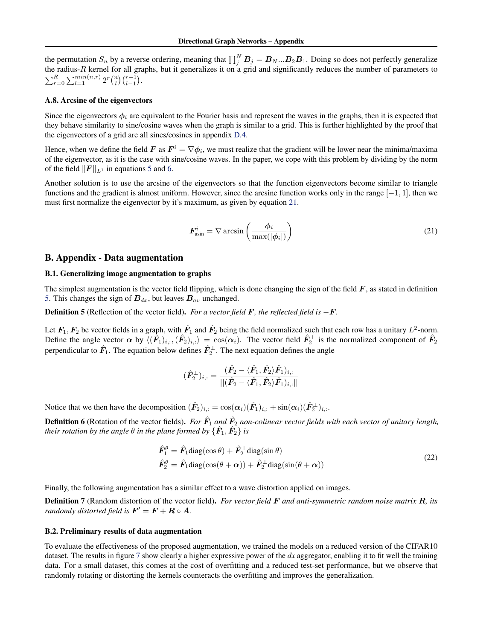<span id="page-3-0"></span>the permutation  $S_n$  by a reverse ordering, meaning that  $\prod_j^N B_j = B_N...B_2B_1$ . Doing so does not perfectly generalize the radius-R kernel for all graphs, but it generalizes it on a grid and significantly reduces the number of parameters to  $\sum_{r=0}^{R} \sum_{l=1}^{min(n,r)} 2^r {n \choose l} {r-1 \choose l-1}.$ 

#### A.8. Arcsine of the eigenvectors

Since the eigenvectors  $\phi_i$  are equivalent to the Fourier basis and represent the waves in the graphs, then it is expected that they behave similarity to sine/cosine waves when the graph is similar to a grid. This is further highlighted by the proof that the eigenvectors of a grid are all sines/cosines in appendix [D.4.](#page-8-0)

Hence, when we define the field F as  $F^i = \nabla \phi_i$ , we must realize that the gradient will be lower near the minima/maxima of the eigenvector, as it is the case with sine/cosine waves. In the paper, we cope with this problem by dividing by the norm of the field  $||\boldsymbol{F}||_{L^1}$  in equations [5](#page--1-0) and [6.](#page--1-0)

Another solution is to use the arcsine of the eigenvectors so that the function eigenvectors become similar to triangle functions and the gradient is almost uniform. However, since the arcsine function works only in the range  $[-1, 1]$ , then we must first normalize the eigenvector by it's maximum, as given by equation 21.

$$
\boldsymbol{F}_{\text{asin}}^i = \nabla \arcsin\left(\frac{\phi_i}{\max(|\phi_i|)}\right) \tag{21}
$$

## B. Appendix - Data augmentation

## B.1. Generalizing image augmentation to graphs

The simplest augmentation is the vector field flipping, which is done changing the sign of the field  $F$ , as stated in definition 5. This changes the sign of  $B_{dx}$ , but leaves  $B_{av}$  unchanged.

Definition 5 (Reflection of the vector field). *For a vector field* F*, the reflected field is* −F*.*

Let  $F_1, F_2$  be vector fields in a graph, with  $\hat{F}_1$  and  $\hat{F}_2$  being the field normalized such that each row has a unitary  $L^2$ -norm. Define the angle vector  $\alpha$  by  $\langle (\hat{F}_1)_{i,:}, (\hat{F}_2)_{i,:} \rangle = \cos(\alpha_i)$ . The vector field  $\hat{F}_2^{\perp}$  is the normalized component of  $\hat{F}_2$ perpendicular to  $\hat{F}_1$ . The equation below defines  $\hat{F}_2^{\perp}$ . The next equation defines the angle

$$
(\hat{\bm{F}}_{2}^{\perp})_{i,:}=\frac{(\hat{\bm{F}}_{2}-\langle\hat{\bm{F}}_{1},\hat{\bm{F}}_{2}\rangle\hat{\bm{F}}_{1})_{i,:}}{||(\hat{\bm{F}}_{2}-\langle\hat{\bm{F}}_{1},\hat{\bm{F}}_{2}\rangle\hat{\bm{F}}_{1})_{i,:}||}
$$

Notice that we then have the decomposition  $(\hat{F}_2)_{i,:} = \cos(\alpha_i)(\hat{F}_1)_{i,:} + \sin(\alpha_i)(\hat{F}_2^{\perp})_{i,:}.$ 

**Definition 6** (Rotation of the vector fields). *For*  $\hat{F}_1$  and  $\hat{F}_2$  non-colinear vector fields with each vector of unitary length, *their rotation by the angle*  $\theta$  *in the plane formed by*  $\{\hat{\bm{F}_1}, \hat{\bm{F}_2}\}$  *is* 

$$
\hat{F}_1^{\theta} = \hat{F}_1 \text{diag}(\cos \theta) + \hat{F}_2^{\perp} \text{diag}(\sin \theta) \n\hat{F}_2^{\theta} = \hat{F}_1 \text{diag}(\cos(\theta + \alpha)) + \hat{F}_2^{\perp} \text{diag}(\sin(\theta + \alpha))
$$
\n(22)

Finally, the following augmentation has a similar effect to a wave distortion applied on images.

Definition 7 (Random distortion of the vector field). *For vector field* F *and anti-symmetric random noise matrix* R*, its randomly distorted field is*  $\mathbf{F}' = \mathbf{F} + \mathbf{R} \circ \mathbf{A}$ *.* 

## B.2. Preliminary results of data augmentation

To evaluate the effectiveness of the proposed augmentation, we trained the models on a reduced version of the CIFAR10 dataset. The results in figure [7](#page-4-0) show clearly a higher expressive power of the *dx* aggregator, enabling it to fit well the training data. For a small dataset, this comes at the cost of overfitting and a reduced test-set performance, but we observe that randomly rotating or distorting the kernels counteracts the overfitting and improves the generalization.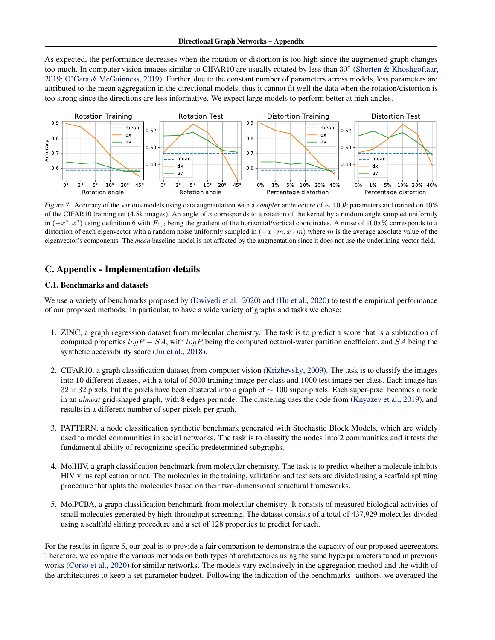<span id="page-4-0"></span>As expected, the performance decreases when the rotation or distortion is too high since the augmented graph changes too much. In computer vision images similar to CIFAR10 are usually rotated by less than 30° [\(Shorten & Khoshgoftaar,](#page--1-0) [2019;](#page--1-0) [O'Gara & McGuinness,](#page--1-0) [2019\)](#page--1-0). Further, due to the constant number of parameters across models, less parameters are attributed to the mean aggregation in the directional models, thus it cannot fit well the data when the rotation/distortion is too strong since the directions are less informative. We expect large models to perform better at high angles.



Figure 7. Accuracy of the various models using data augmentation with a *complex* architecture of ∼ 100k parameters and trained on 10% of the CIFAR10 training set (4.5k images). An angle of x corresponds to a rotation of the kernel by a random angle sampled uniformly in  $(-x^{\circ}, x^{\circ})$  using definition [6](#page-3-0) with  $F_{1,2}$  being the gradient of the horizontal/vertical coordinates. A noise of 100x% corresponds to a distortion of each eigenvector with a random noise uniformly sampled in  $(-x \cdot m, x \cdot m)$  where m is the average absolute value of the eigenvector's components. The *mean* baseline model is not affected by the augmentation since it does not use the underlining vector field.

## C. Appendix - Implementation details

## C.1. Benchmarks and datasets

We use a variety of benchmarks proposed by [\(Dwivedi et al.,](#page--1-0) [2020\)](#page--1-0) and [\(Hu et al.,](#page--1-0) 2020) to test the empirical performance of our proposed methods. In particular, to have a wide variety of graphs and tasks we chose:

- 1. ZINC, a graph regression dataset from molecular chemistry. The task is to predict a score that is a subtraction of computed properties  $logP - SA$ , with  $logP$  being the computed octanol-water partition coefficient, and SA being the synthetic accessibility score [\(Jin et al.,](#page--1-0) [2018\)](#page--1-0).
- 2. CIFAR10, a graph classification dataset from computer vision [\(Krizhevsky,](#page--1-0) [2009\)](#page--1-0). The task is to classify the images into 10 different classes, with a total of 5000 training image per class and 1000 test image per class. Each image has  $32 \times 32$  pixels, but the pixels have been clustered into a graph of  $\sim 100$  super-pixels. Each super-pixel becomes a node in an *almost* grid-shaped graph, with 8 edges per node. The clustering uses the code from [\(Knyazev et al.,](#page--1-0) [2019\)](#page--1-0), and results in a different number of super-pixels per graph.
- 3. PATTERN, a node classification synthetic benchmark generated with Stochastic Block Models, which are widely used to model communities in social networks. The task is to classify the nodes into 2 communities and it tests the fundamental ability of recognizing specific predetermined subgraphs.
- 4. MolHIV, a graph classification benchmark from molecular chemistry. The task is to predict whether a molecule inhibits HIV virus replication or not. The molecules in the training, validation and test sets are divided using a scaffold splitting procedure that splits the molecules based on their two-dimensional structural frameworks.
- 5. MolPCBA, a graph classification benchmark from molecular chemistry. It consists of measured biological activities of small molecules generated by high-throughput screening. The dataset consists of a total of 437,929 molecules divided using a scaffold slitting procedure and a set of 128 properties to predict for each.

For the results in figure [5,](#page--1-0) our goal is to provide a fair comparison to demonstrate the capacity of our proposed aggregators. Therefore, we compare the various methods on both types of architectures using the same hyperparameters tuned in previous works [\(Corso et al.,](#page--1-0) [2020\)](#page--1-0) for similar networks. The models vary exclusively in the aggregation method and the width of the architectures to keep a set parameter budget. Following the indication of the benchmarks' authors, we averaged the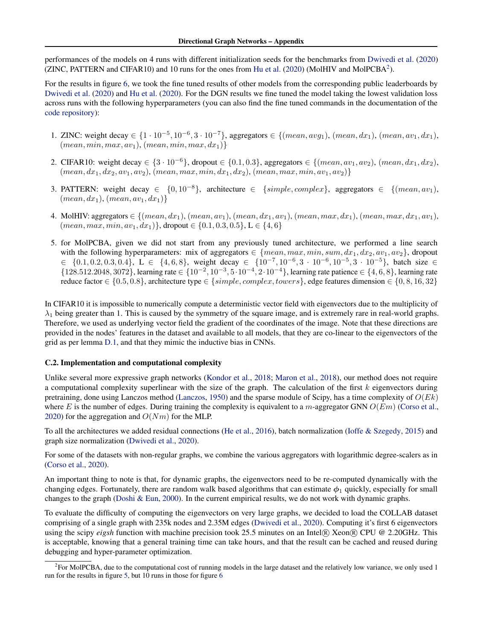performances of the models on 4 runs with different initialization seeds for the benchmarks from [Dwivedi et al.](#page--1-0) [\(2020\)](#page--1-0) (ZINC, PATTERN and CIFAR10) and 10 runs for the ones from [Hu et al.](#page--1-0) [\(2020\)](#page--1-0) (MolHIV and MolPCBA<sup>2</sup>).

For the results in figure [6,](#page--1-0) we took the fine tuned results of other models from the corresponding public leaderboards by [Dwivedi et al.](#page--1-0) [\(2020\)](#page--1-0) and [Hu et al.](#page--1-0) [\(2020\)](#page--1-0). For the DGN results we fine tuned the model taking the lowest validation loss across runs with the following hyperparameters (you can also find the fine tuned commands in the documentation of the [code repository\)](https://anonymous.4open.science/r/DGN/):

- 1. ZINC: weight decay ∈ {1 · 10<sup>-5</sup>, 10<sup>-6</sup>, 3 · 10<sup>-7</sup>}, aggregators ∈ {(mean, avg<sub>1</sub>), (mean, dx<sub>1</sub>), (mean, av<sub>1</sub>, dx<sub>1</sub>),  $(mean, min, max, av_1), (mean, min, max, dx_1)$
- 2. CIFAR10: weight decay ∈ {3 · 10<sup>-6</sup>}, dropout ∈ {0.1, 0.3}, aggregators ∈ {(mean, av<sub>1</sub>, av<sub>2</sub>), (mean, dx<sub>1</sub>, dx<sub>2</sub>),  $(mean, dx_1, dx_2, av_1, av_2), (mean, max, min, dx_1, dx_2), (mean, max, min, av_1, av_2)$
- 3. PATTERN: weight decay ∈ {0,10<sup>-8</sup>}, architecture ∈ {simple, complex}, aggregators ∈ {(mean, av<sub>1</sub>),  ${mean, dx_1}, {mean, av_1, dx_1}$
- 4. MolHIV: aggregators  $\in \{(\text{mean}, dx_1), (\text{mean}, av_1), (\text{mean}, dx_1, av_1), (\text{mean}, max, dx_1), (\text{mean}, max, dx_1, av_1), (\text{mean}, max, dx_1, av_1)\}$  ${mean, max, min, av_1, dx_1}$ , dropout  $\in \{0.1, 0.3, 0.5\}$ ,  $L \in \{4, 6\}$
- 5. for MolPCBA, given we did not start from any previously tuned architecture, we performed a line search with the following hyperparameters: mix of aggregators  $\in \{mean, max, min, sum, dx_1, dx_2, av_1, av_2\}$ , dropout  $\in \{0.1, 0.2, 0.3, 0.4\}, \ L \in \{4, 6, 8\}, \text{ weight decay } \in \{10^{-7}, 10^{-6}, 3 \cdot 10^{-6}, 10^{-5}, 3 \cdot 10^{-5}\}, \text{ batch size } \in \{10^{-7}, 10^{-7}, 10^{-6}, 3 \cdot 10^{-5}, 10^{-5}, 3 \cdot 10^{-5}\}.$ {128.512.2048, 3072}, learning rate ∈ {10<sup>-2</sup>, 10<sup>-3</sup>, 5·10<sup>-4</sup>, 2·10<sup>-4</sup>}, learning rate patience ∈ {4, 6, 8}, learning rate reduce factor  $\in \{0.5, 0.8\}$ , architecture type  $\in \{simple, complex, towers\}$ , edge features dimension  $\in \{0, 8, 16, 32\}$

In CIFAR10 it is impossible to numerically compute a deterministic vector field with eigenvectors due to the multiplicity of  $\lambda_1$  being greater than 1. This is caused by the symmetry of the square image, and is extremely rare in real-world graphs. Therefore, we used as underlying vector field the gradient of the coordinates of the image. Note that these directions are provided in the nodes' features in the dataset and available to all models, that they are co-linear to the eigenvectors of the grid as per lemma [D.1,](#page-8-0) and that they mimic the inductive bias in CNNs.

## C.2. Implementation and computational complexity

Unlike several more expressive graph networks [\(Kondor et al.,](#page--1-0) [2018;](#page--1-0) [Maron et al.,](#page--1-0) [2018\)](#page--1-0), our method does not require a computational complexity superlinear with the size of the graph. The calculation of the first  $k$  eigenvectors during pretraining, done using Lanczos method [\(Lanczos,](#page--1-0) [1950\)](#page--1-0) and the sparse module of Scipy, has a time complexity of  $O(Ek)$ where E is the number of edges. During training the complexity is equivalent to a m-aggregator GNN  $O(Em)$  [\(Corso et al.,](#page--1-0) [2020\)](#page--1-0) for the aggregation and  $O(Nm)$  for the MLP.

To all the architectures we added residual connections [\(He et al.,](#page--1-0) [2016\)](#page--1-0), batch normalization [\(Ioffe & Szegedy,](#page--1-0) [2015\)](#page--1-0) and graph size normalization [\(Dwivedi et al.,](#page--1-0) [2020\)](#page--1-0).

For some of the datasets with non-regular graphs, we combine the various aggregators with logarithmic degree-scalers as in [\(Corso et al.,](#page--1-0) [2020\)](#page--1-0).

An important thing to note is that, for dynamic graphs, the eigenvectors need to be re-computed dynamically with the changing edges. Fortunately, there are random walk based algorithms that can estimate  $\phi_1$  quickly, especially for small changes to the graph [\(Doshi & Eun,](#page--1-0) [2000\)](#page--1-0). In the current empirical results, we do not work with dynamic graphs.

To evaluate the difficulty of computing the eigenvectors on very large graphs, we decided to load the COLLAB dataset comprising of a single graph with 235k nodes and 2.35M edges [\(Dwivedi et al.,](#page--1-0) [2020\)](#page--1-0). Computing it's first 6 eigenvectors using the scipy *eigsh* function with machine precision took 25.5 minutes on an Intel® Xeon® CPU @ 2.20GHz. This is acceptable, knowing that a general training time can take hours, and that the result can be cached and reused during debugging and hyper-parameter optimization.

<sup>&</sup>lt;sup>2</sup> For MolPCBA, due to the computational cost of running models in the large dataset and the relatively low variance, we only used 1 run for the results in figure [5,](#page--1-0) but 10 runs in those for figure [6](#page--1-0)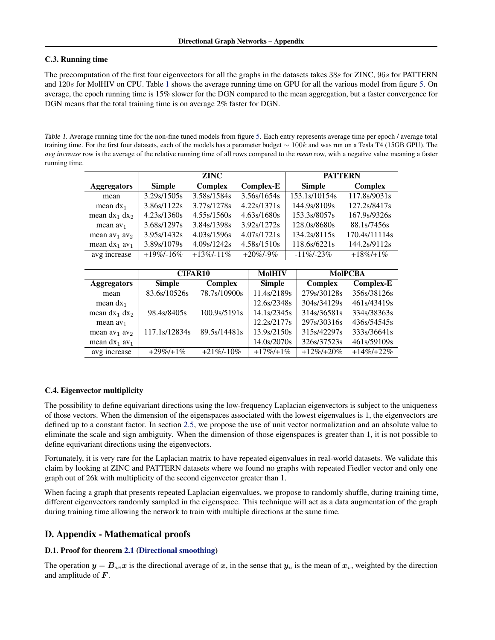## C.3. Running time

The precomputation of the first four eigenvectors for all the graphs in the datasets takes 38s for ZINC, 96s for PATTERN and 120s for MolHIV on CPU. Table 1 shows the average running time on GPU for all the various model from figure [5.](#page--1-0) On average, the epoch running time is 15% slower for the DGN compared to the mean aggregation, but a faster convergence for DGN means that the total training time is on average 2% faster for DGN.

Table 1. Average running time for the non-fine tuned models from figure [5.](#page--1-0) Each entry represents average time per epoch / average total training time. For the first four datasets, each of the models has a parameter budget ∼ 100k and was run on a Tesla T4 (15GB GPU). The *avg increase* row is the average of the relative running time of all rows compared to the *mean* row, with a negative value meaning a faster running time.

|                             |                | <b>PATTERN</b> |                  |                |                |                  |  |
|-----------------------------|----------------|----------------|------------------|----------------|----------------|------------------|--|
| <b>Aggregators</b>          | <b>Simple</b>  | <b>Complex</b> | <b>Complex-E</b> | <b>Simple</b>  |                | <b>Complex</b>   |  |
| mean                        | 3.29s/1505s    | 3.58s/1584s    | 3.56s/1654s      |                | 153.1s/10154s  | 117.8s/9031s     |  |
| mean $dx_1$                 | 3.86s/1122s    | 3.77s/1278s    | 4.22s/1371s      |                | 144.9s/8109s   | 127.2s/8417s     |  |
| mean $dx_1$ $dx_2$          | 4.23s/1360s    | 4.55s/1560s    | 4.63s/1680s      |                | 153.3s/8057s   | 167.9s/9326s     |  |
| mean $av_1$                 | 3.68s/1297s    | 3.84s/1398s    | 3.92s/1272s      |                | 128.0s/8680s   | 88.1s/7456s      |  |
| mean $av_1$ av <sub>2</sub> | 3.95s/1432s    | 4.03s/1596s    | 4.07s/1721s      |                | 134.2s/8115s   | 170.4s/11114s    |  |
| mean $dx_1$ av <sub>1</sub> | 3.89s/1079s    | 4.09s/1242s    | 4.58s/1510s      |                | 118.6s/6221s   | 144.2s/9112s     |  |
| avg increase                | $+19\% - 16\%$ | $+13\%/11\%$   | $+20\%$ /-9%     | $-11\% - 23\%$ |                | $+18\%/+1\%$     |  |
|                             |                |                |                  |                |                |                  |  |
|                             | <b>CIFAR10</b> |                | <b>MolHIV</b>    |                | <b>MolPCBA</b> |                  |  |
| <b>Aggregators</b>          | <b>Simple</b>  | Complex        | <b>Simple</b>    |                | Complex        | <b>Complex-E</b> |  |
| mean                        | 83.6s/10526s   | 78.7s/10900s   | 11.4s/2189s      |                | 279s/30128s    | 356s/38126s      |  |
| mean $dx_1$                 |                |                | 12.6s/2348s      |                | 304s/34129s    | 461s/43419s      |  |
| mean $dx_1$ $dx_2$          | 98.4s/8405s    | 100.9s/5191s   | 14.1s/2345s      |                | 314s/36581s    | 334s/38363s      |  |
| mean $av_1$                 |                |                | 12.2s/2177s      |                | 297s/30316s    | 436s/54545s      |  |
| mean $av_1$ av              | 117.1s/12834s  | 89.5s/14481s   | 13.9s/2150s      |                | 315s/42297s    | 333s/36641s      |  |

## C.4. Eigenvector multiplicity

The possibility to define equivariant directions using the low-frequency Laplacian eigenvectors is subject to the uniqueness of those vectors. When the dimension of the eigenspaces associated with the lowest eigenvalues is 1, the eigenvectors are defined up to a constant factor. In section [2.5,](#page--1-0) we propose the use of unit vector normalization and an absolute value to eliminate the scale and sign ambiguity. When the dimension of those eigenspaces is greater than 1, it is not possible to define equivariant directions using the eigenvectors.

mean dx<sub>1</sub> av<sub>1</sub> | 14.0s/2070s | 326s/37523s 461s/59109s avg increase  $+29\%/+1\% +21\%/-10\% +17\%/+1\% +12\%/+20\% +14\%/+22\%$ 

Fortunately, it is very rare for the Laplacian matrix to have repeated eigenvalues in real-world datasets. We validate this claim by looking at ZINC and PATTERN datasets where we found no graphs with repeated Fiedler vector and only one graph out of 26k with multiplicity of the second eigenvector greater than 1.

When facing a graph that presents repeated Laplacian eigenvalues, we propose to randomly shuffle, during training time, different eigenvectors randomly sampled in the eigenspace. This technique will act as a data augmentation of the graph during training time allowing the network to train with multiple directions at the same time.

## D. Appendix - Mathematical proofs

## D.1. Proof for theorem [2.1](#page--1-0) [\(Directional smoothing\)](#page--1-0)

The operation  $y = B_{av}x$  is the directional average of x, in the sense that  $y_u$  is the mean of  $x_v$ , weighted by the direction and amplitude of F.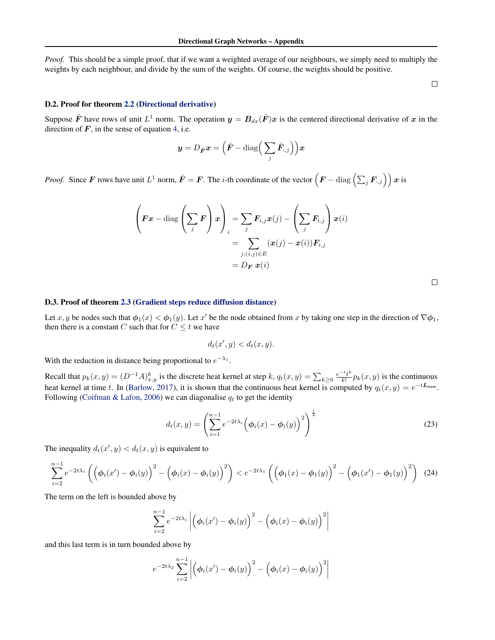<span id="page-7-0"></span>*Proof.* This should be a simple proof, that if we want a weighted average of our neighbours, we simply need to multiply the weights by each neighbour, and divide by the sum of the weights. Of course, the weights should be positive.

 $\Box$ 

## D.2. Proof for theorem [2.2](#page--1-0) [\(Directional derivative\)](#page--1-0)

Suppose  $\hat{F}$  have rows of unit  $L^1$  norm. The operation  $y = B_{dx}(\hat{F})x$  is the centered directional derivative of x in the direction of  $F$ , in the sense of equation [4,](#page--1-0) i.e.

$$
\boldsymbol{y} = D_{\hat{\boldsymbol{F}}}\boldsymbol{x} = \Big(\hat{\boldsymbol{F}} - \text{diag}\Big(\sum_j\hat{\boldsymbol{F}}_{:,j}\Big)\Big)\boldsymbol{x}
$$

*Proof.* Since F rows have unit  $L^1$  norm,  $\hat{F} = F$ . The *i*-th coordinate of the vector  $(F - \text{diag}\left(\sum_j F_{:,j}\right))x$  is

$$
\left(\boldsymbol{F}\boldsymbol{x} - \text{diag}\left(\sum_{j}\boldsymbol{F}\right)\boldsymbol{x}\right)_{i} = \sum_{j} \boldsymbol{F}_{i,j}\boldsymbol{x}(j) - \left(\sum_{j}\boldsymbol{F}_{i,j}\right)\boldsymbol{x}(i) \\
= \sum_{j:(i,j)\in E} (\boldsymbol{x}(j) - \boldsymbol{x}(i))\boldsymbol{F}_{i,j} \\
= D_{\boldsymbol{F}} \boldsymbol{x}(i)
$$

### D.3. Proof of theorem [2.3](#page--1-0) [\(Gradient steps reduce diffusion distance\)](#page--1-0)

Let x, y be nodes such that  $\phi_1(x) < \phi_1(y)$ . Let x' be the node obtained from x by taking one step in the direction of  $\nabla \phi_1$ , then there is a constant C such that for  $C \leq t$  we have

$$
d_t(x',y) < d_t(x,y).
$$

With the reduction in distance being proportional to  $e^{-\lambda_1}$ .

Recall that  $p_k(x, y) = (D^{-1}A)_{x,y}^k$  is the discrete heat kernel at step  $k$ ,  $q_t(x, y) = \sum_{k \geq 0} \frac{e^{-t}t^k}{k!}$  $\frac{v_t}{k!} p_k(x, y)$  is the continuous heat kernel at time t. In [\(Barlow,](#page--1-0) [2017\)](#page--1-0), it is shown that the continuous heat kernel is computed by  $q_t(x, y) = e^{-tL_{norm}}$ . Following [\(Coifman & Lafon,](#page--1-0) [2006\)](#page--1-0) we can diagonalise  $q_t$  to get the identity

$$
d_t(x,y) = \left(\sum_{i=1}^{n-1} e^{-2t\lambda_i} \left(\phi_i(x) - \phi_i(y)\right)^2\right)^{\frac{1}{2}}
$$
(23)

The inequality  $d_t(x', y) < d_t(x, y)$  is equivalent to

$$
\sum_{i=2}^{n-1} e^{-2t\lambda_i} \left( \left( \phi_i(x') - \phi_i(y) \right)^2 - \left( \phi_i(x) - \phi_i(y) \right)^2 \right) < e^{-2t\lambda_1} \left( \left( \phi_1(x) - \phi_1(y) \right)^2 - \left( \phi_1(x') - \phi_1(y) \right)^2 \right) \tag{24}
$$

The term on the left is bounded above by

$$
\sum_{i=2}^{n-1} e^{-2t\lambda_i} \left| \left( \phi_i(x') - \phi_i(y) \right)^2 - \left( \phi_i(x) - \phi_i(y) \right)^2 \right|
$$

and this last term is in turn bounded above by

$$
e^{-2t\lambda_2}\sum_{i=2}^{n-1}\left|\left(\phi_i(x')-\phi_i(y)\right)^2-\left(\phi_i(x)-\phi_i(y)\right)^2\right|
$$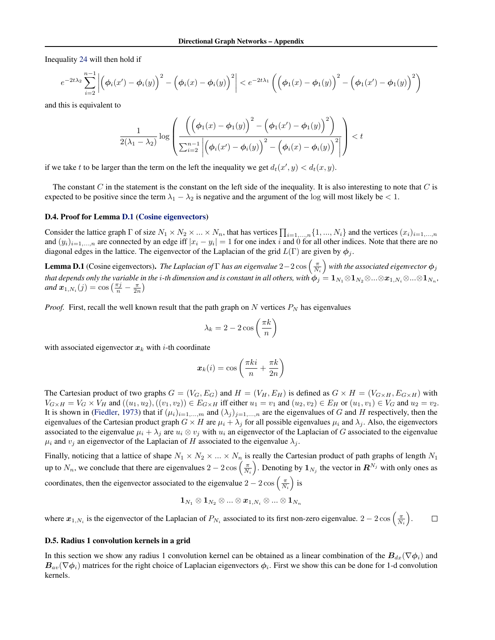<span id="page-8-0"></span>Inequality [24](#page-7-0) will then hold if

$$
e^{-2t\lambda_2}\sum_{i=2}^{n-1}\left|\left(\phi_i(x')-\phi_i(y)\right)^2-\left(\phi_i(x)-\phi_i(y)\right)^2\right|< e^{-2t\lambda_1}\left(\left(\phi_1(x)-\phi_1(y)\right)^2-\left(\phi_1(x')-\phi_1(y)\right)^2\right)
$$

and this is equivalent to

$$
\frac{1}{2(\lambda_1-\lambda_2)}\log\left(\frac{\left(\left(\phi_1(x)-\phi_1(y)\right)^2-\left(\phi_1(x')-\phi_1(y)\right)^2\right)}{\sum_{i=2}^{n-1}\left|\left(\phi_i(x')-\phi_i(y)\right)^2-\left(\phi_i(x)-\phi_i(y)\right)^2\right|}\right)
$$

if we take t to be larger than the term on the left the inequality we get  $d_t(x', y) < d_t(x, y)$ .

The constant C in the statement is the constant on the left side of the inequality. It is also interesting to note that C is expected to be positive since the term  $\lambda_1 - \lambda_2$  is negative and the argument of the log will most likely be < 1.

### D.4. Proof for Lemma D.1 (Cosine eigenvectors)

Consider the lattice graph  $\Gamma$  of size  $N_1 \times N_2 \times ... \times N_n$ , that has vertices  $\prod_{i=1,...,n} \{1,...,N_i\}$  and the vertices  $(x_i)_{i=1,...,n}$ and  $(y_i)_{i=1,\dots,n}$  are connected by an edge iff  $|x_i - y_i| = 1$  for one index i and 0 for all other indices. Note that there are no diagonal edges in the lattice. The eigenvector of the Laplacian of the grid  $L(\Gamma)$  are given by  $\phi_j$ .

**Lemma D.1** (Cosine eigenvectors). *The Laplacian of*  $\Gamma$  *has an eigenvalue*  $2-2\cos\left(\frac{\pi}{N_i}\right)$  with the associated eigenvector  $\phi_j$ that depends only the variable in the i-th dimension and is constant in all others, with  $\phi_j=1_{N_1}\otimes 1_{N_2}\otimes...\otimes x_{1,N_i}\otimes...\otimes 1_{N_n},$ *and*  $x_{1,N_i}(j) = \cos\left(\frac{\pi j}{n} - \frac{\pi}{2n}\right)$ 

*Proof.* First, recall the well known result that the path graph on N vertices  $P_N$  has eigenvalues

$$
\lambda_k = 2 - 2\cos\left(\frac{\pi k}{n}\right)
$$

with associated eigenvector  $x_k$  with *i*-th coordinate

$$
\boldsymbol{x}_k(i) = \cos\left(\frac{\pi k i}{n} + \frac{\pi k}{2n}\right)
$$

The Cartesian product of two graphs  $G = (V_G, E_G)$  and  $H = (V_H, E_H)$  is defined as  $G \times H = (V_{G \times H}, E_{G \times H})$  with  $V_{G \times H} = V_G \times V_H$  and  $((u_1, u_2), ((v_1, v_2)) \in E_{G \times H}$  iff either  $u_1 = v_1$  and  $(u_2, v_2) \in E_H$  or  $(u_1, v_1) \in V_G$  and  $u_2 = v_2$ . It is shown in [\(Fiedler,](#page--1-0) [1973\)](#page--1-0) that if  $(\mu_i)_{i=1,\dots,m}$  and  $(\lambda_j)_{j=1,\dots,n}$  are the eigenvalues of G and H respectively, then the eigenvalues of the Cartesian product graph  $G \times H$  are  $\mu_i + \lambda_j$  for all possible eigenvalues  $\mu_i$  and  $\lambda_j$ . Also, the eigenvectors associated to the eigenvalue  $\mu_i + \lambda_j$  are  $u_i \otimes v_j$  with  $u_i$  an eigenvector of the Laplacian of G associated to the eigenvalue  $\mu_i$  and  $v_j$  an eigenvector of the Laplacian of H associated to the eigenvalue  $\lambda_j$ .

Finally, noticing that a lattice of shape  $N_1 \times N_2 \times ... \times N_n$  is really the Cartesian product of path graphs of length  $N_1$ up to  $N_n$ , we conclude that there are eigenvalues  $2-2\cos\left(\frac{\pi}{N_i}\right)$ . Denoting by  $\mathbf{1}_{N_j}$  the vector in  $\mathbb{R}^{N_j}$  with only ones as coordinates, then the eigenvector associated to the eigenvalue  $2 - 2 \cos\left(\frac{\pi}{N_i}\right)$  is

$$
\mathbf{1}_{N_1} \otimes \mathbf{1}_{N_2} \otimes ... \otimes \bm{x}_{1,N_i} \otimes ... \otimes \mathbf{1}_{N_n}
$$

where  $x_{1,N_i}$  is the eigenvector of the Laplacian of  $P_{N_i}$  associated to its first non-zero eigenvalue.  $2-2\cos\left(\frac{\pi}{N_i}\right)$ .  $\Box$ 

## D.5. Radius 1 convolution kernels in a grid

In this section we show any radius 1 convolution kernel can be obtained as a linear combination of the  $B_{dx}(\nabla \phi_i)$  and  $B_{av}(\nabla \phi_i)$  matrices for the right choice of Laplacian eigenvectors  $\phi_i$ . First we show this can be done for 1-d convolution kernels.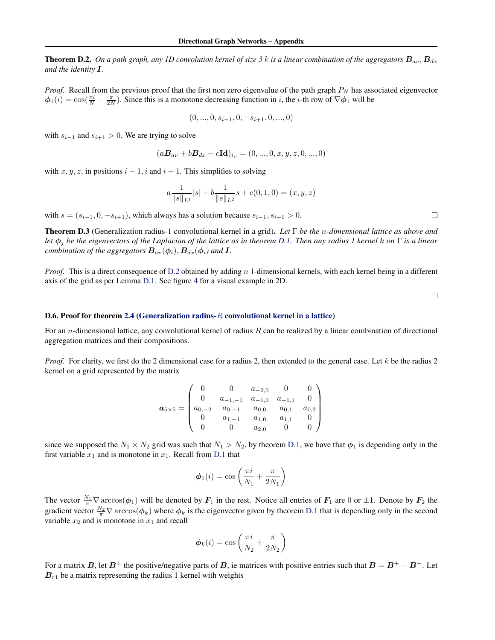<span id="page-9-0"></span>**Theorem D.2.** On a path graph, any 1D convolution kernel of size 3 k is a linear combination of the aggregators  $B_{av}$ ,  $B_{dx}$ *and the identity* I*.*

*Proof.* Recall from the previous proof that the first non zero eigenvalue of the path graph  $P_N$  has associated eigenvector  $\phi_1(i) = \cos(\frac{\pi i}{N} - \frac{\pi}{2N})$ . Since this is a monotone decreasing function in *i*, the *i*-th row of  $\nabla \phi_1$  will be

$$
(0, ..., 0, s_{i-1}, 0, -s_{i+1}, 0, ..., 0)
$$

with  $s_{i-1}$  and  $s_{i+1} > 0$ . We are trying to solve

$$
(a\mathbf{B}_{av} + b\mathbf{B}_{dx} + c\mathbf{Id})_{i,:} = (0, ..., 0, x, y, z, 0, ..., 0)
$$

with  $x, y, z$ , in positions  $i - 1$ , i and  $i + 1$ . This simplifies to solving

$$
a \frac{1}{\|s\|_{L^1}} |s| + b \frac{1}{\|s\|_{L^2}} s + c(0, 1, 0) = (x, y, z)
$$

with  $s = (s_{i-1}, 0, -s_{i+1})$ , which always has a solution because  $s_{i-1}, s_{i+1} > 0$ .

Theorem D.3 (Generalization radius-1 convolutional kernel in a grid). *Let* Γ *be the* n*-dimensional lattice as above and let* φ<sup>j</sup> *be the eigenvectors of the Laplacian of the lattice as in theorem [D.1.](#page-8-0) Then any radius 1 kernel* k *on* Γ *is a linear combination of the aggregators*  $B_{av}(\phi_i)$ ,  $B_{dx}(\phi_i)$  and **I**.

*Proof.* This is a direct consequence of D.2 obtained by adding n 1-dimensional kernels, with each kernel being in a different axis of the grid as per Lemma [D.1.](#page-8-0) See figure [4](#page--1-0) for a visual example in 2D.

 $\Box$ 

 $\Box$ 

## **D.6. Proof for theorem [2.4](#page--1-0) (Generalization radius-** $R$  [convolutional kernel in a lattice\)](#page--1-0)

For an *n*-dimensional lattice, any convolutional kernel of radius R can be realized by a linear combination of directional aggregation matrices and their compositions.

*Proof.* For clarity, we first do the 2 dimensional case for a radius 2, then extended to the general case. Let k be the radius 2 kernel on a grid represented by the matrix

$$
\boldsymbol{a}_{5\times 5} = \begin{pmatrix} 0 & 0 & a_{-2,0} & 0 & 0 \\ 0 & a_{-1,-1} & a_{-1,0} & a_{-1,1} & 0 \\ a_{0,-2} & a_{0,-1} & a_{0,0} & a_{0,1} & a_{0,2} \\ 0 & a_{1,-1} & a_{1,0} & a_{1,1} & 0 \\ 0 & 0 & a_{2,0} & 0 & 0 \end{pmatrix}
$$

since we supposed the  $N_1 \times N_2$  grid was such that  $N_1 > N_2$ , by theorem [D.1,](#page-8-0) we have that  $\phi_1$  is depending only in the first variable  $x_1$  and is monotone in  $x_1$ . Recall from [D.1](#page-8-0) that

$$
\phi_1(i) = \cos\left(\frac{\pi i}{N_1} + \frac{\pi}{2N_1}\right)
$$

The vector  $\frac{N_1}{\pi} \nabla \arccos(\phi_1)$  will be denoted by  $F_1$  in the rest. Notice all entries of  $F_1$  are 0 or  $\pm 1$ . Denote by  $F_2$  the gradient vector  $\frac{N_2}{\pi} \nabla \arccos(\phi_k)$  where  $\phi_k$  is the eigenvector given by theorem [D.1](#page-8-0) that is depending only in the second variable  $x_2$  and is monotone in  $x_1$  and recall

$$
\phi_k(i) = \cos\left(\frac{\pi i}{N_2} + \frac{\pi}{2N_2}\right)
$$

For a matrix B, let  $B^{\pm}$  the positive/negative parts of B, ie matrices with positive entries such that  $B = B^+ - B^-$ . Let  $B_{r1}$  be a matrix representing the radius 1 kernel with weights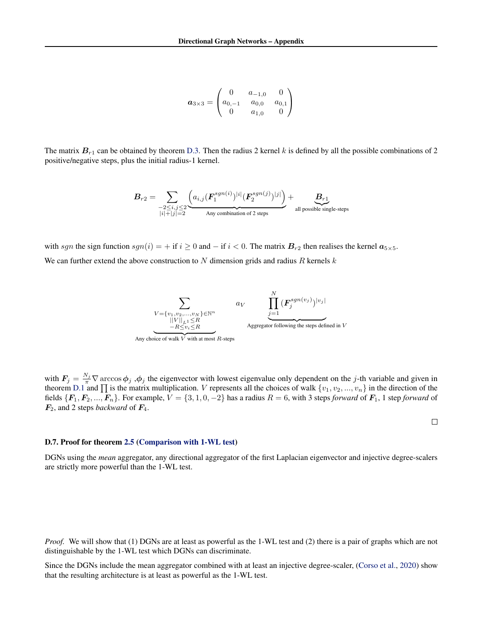$$
\boldsymbol{a}_{3\times3} = \begin{pmatrix} 0 & a_{-1,0} & 0 \\ a_{0,-1} & a_{0,0} & a_{0,1} \\ 0 & a_{1,0} & 0 \end{pmatrix}
$$

The matrix  $B_{r1}$  can be obtained by theorem [D.3.](#page-9-0) Then the radius 2 kernel k is defined by all the possible combinations of 2 positive/negative steps, plus the initial radius-1 kernel.

$$
B_{r2} = \sum_{\substack{-2 \leq i,j \leq 2 \\ |i|+|j|=2}} \underbrace{\left(a_{i,j} (\boldsymbol{F}_{1}^{sgn(i)})^{|i|} (\boldsymbol{F}_{2}^{sgn(j)})^{|j|}\right)}_{\text{Any combination of 2 steps}} + \underbrace{B_{r1}}_{\text{all possible single-steps}}
$$

with sgn the sign function  $sgn(i) = +$  if  $i \ge 0$  and  $-$  if  $i < 0$ . The matrix  $B_{r2}$  then realises the kernel  $a_{5 \times 5}$ .

We can further extend the above construction to N dimension grids and radius R kernels  $k$ 



with  $F_j = \frac{N_j}{\pi} \nabla \arccos \phi_j$ ,  $\phi_j$  the eigenvector with lowest eigenvalue only dependent on the j-th variable and given in theorem [D.1](#page-8-0) and  $\Pi$  is the matrix multiplication. V represents all the choices of walk  $\{v_1, v_2, ..., v_n\}$  in the direction of the fields  $\{F_1, F_2, ..., F_n\}$ . For example,  $V = \{3, 1, 0, -2\}$  has a radius  $R = 6$ , with 3 steps *forward* of  $F_1$ , 1 step *forward* of  $\mathbf{F}_2$ , and 2 steps *backward* of  $\mathbf{F}_4$ .

 $\Box$ 

#### D.7. Proof for theorem [2.5](#page--1-0) [\(Comparison with 1-WL test\)](#page--1-0)

DGNs using the *mean* aggregator, any directional aggregator of the first Laplacian eigenvector and injective degree-scalers are strictly more powerful than the 1-WL test.

*Proof.* We will show that (1) DGNs are at least as powerful as the 1-WL test and (2) there is a pair of graphs which are not distinguishable by the 1-WL test which DGNs can discriminate.

Since the DGNs include the mean aggregator combined with at least an injective degree-scaler, [\(Corso et al.,](#page--1-0) [2020\)](#page--1-0) show that the resulting architecture is at least as powerful as the 1-WL test.